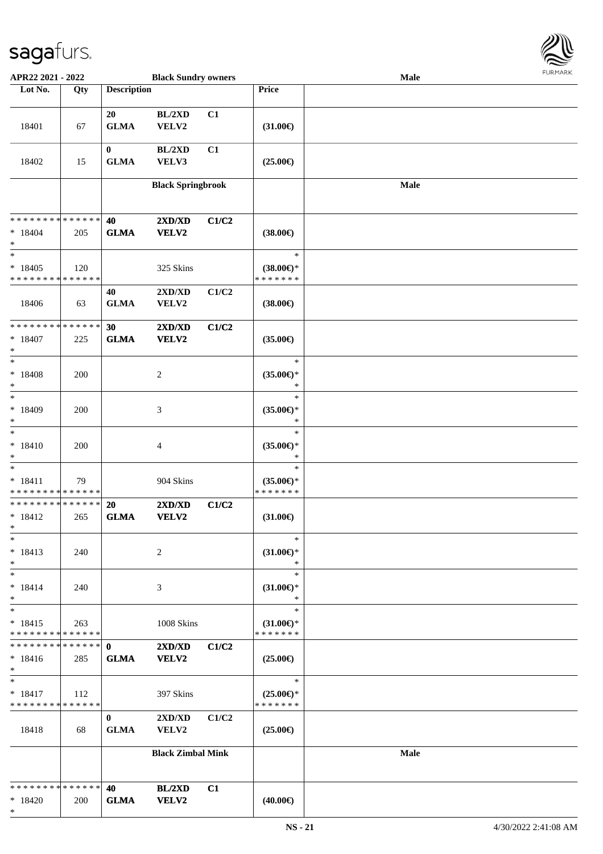

| APR22 2021 - 2022                                           |     |                             | <b>Black Sundry owners</b>                       |       |                                                   | Male |  |
|-------------------------------------------------------------|-----|-----------------------------|--------------------------------------------------|-------|---------------------------------------------------|------|--|
| Lot No.                                                     | Qty | <b>Description</b>          |                                                  |       | Price                                             |      |  |
| 18401                                                       | 67  | 20<br><b>GLMA</b>           | BL/2XD<br>VELV2                                  | C1    | $(31.00\epsilon)$                                 |      |  |
| 18402                                                       | 15  | $\bf{0}$<br>${\bf GLMA}$    | BL/2XD<br>VELV3                                  | C1    | $(25.00\epsilon)$                                 |      |  |
|                                                             |     |                             | <b>Black Springbrook</b>                         |       |                                                   | Male |  |
| * * * * * * * * * * * * * *<br>$* 18404$<br>$\ast$          | 205 | 40<br><b>GLMA</b>           | 2XD/XD<br><b>VELV2</b>                           | C1/C2 | $(38.00\epsilon)$                                 |      |  |
| $\ast$<br>$*18405$<br>* * * * * * * * * * * * * *           | 120 |                             | 325 Skins                                        |       | $\ast$<br>$(38.00\epsilon)$ *<br>* * * * * * *    |      |  |
| 18406                                                       | 63  | 40<br><b>GLMA</b>           | 2XD/XD<br>VELV2                                  | C1/C2 | $(38.00\epsilon)$                                 |      |  |
| * * * * * * * * * * * * * *<br>$* 18407$<br>$\ast$          | 225 | 30<br><b>GLMA</b>           | 2XD/XD<br><b>VELV2</b>                           | C1/C2 | $(35.00\epsilon)$                                 |      |  |
| $\ast$<br>$* 18408$<br>$\ast$<br>$\overline{\phantom{a}^*}$ | 200 |                             | $\boldsymbol{2}$                                 |       | $\ast$<br>$(35.00\epsilon)$ *<br>$\ast$           |      |  |
| $*18409$<br>$\ast$<br>$\ast$                                | 200 |                             | $\ensuremath{\mathfrak{Z}}$                      |       | $\ast$<br>$(35.00\epsilon)$ *<br>$\ast$<br>$\ast$ |      |  |
| $* 18410$<br>$\ast$<br>$\ast$                               | 200 |                             | 4                                                |       | $(35.00\epsilon)$ *<br>$\ast$<br>$\ast$           |      |  |
| $* 18411$<br>* * * * * * * * * * * * * *                    | 79  |                             | 904 Skins                                        |       | $(35.00\epsilon)$ *<br>* * * * * * *              |      |  |
| * * * * * * * * * * * * * *<br>$* 18412$<br>$*$             | 265 | <b>20</b><br><b>GLMA</b>    | 2XD/XD<br><b>VELV2</b>                           | C1/C2 | $(31.00\epsilon)$                                 |      |  |
| $\ast$<br>$* 18413$<br>$\ast$                               | 240 |                             | $\overline{c}$                                   |       | $\ast$<br>$(31.00\epsilon)$ *<br>$\ast$           |      |  |
| $\ast$<br>$* 18414$<br>$\ast$                               | 240 |                             | 3                                                |       | $\ast$<br>$(31.00\epsilon)$ *<br>$\ast$           |      |  |
| $\ast$<br>$* 18415$<br>* * * * * * * * * * * * * *          | 263 |                             | 1008 Skins                                       |       | $\ast$<br>$(31.00\epsilon)$ *<br>* * * * * * *    |      |  |
| * * * * * * * * * * * * * * *<br>$* 18416$<br>$\ast$        | 285 | $\mathbf{0}$<br><b>GLMA</b> | 2XD/XD<br><b>VELV2</b>                           | C1/C2 | $(25.00\epsilon)$                                 |      |  |
| $\ast$<br>$*18417$<br>* * * * * * * * * * * * * *           | 112 |                             | 397 Skins                                        |       | $\ast$<br>$(25.00\epsilon)$ *<br>* * * * * * *    |      |  |
| 18418                                                       | 68  | $\bf{0}$<br><b>GLMA</b>     | $2{\bf X}{\bf D}/{\bf X}{\bf D}$<br><b>VELV2</b> | C1/C2 | $(25.00\epsilon)$                                 |      |  |
|                                                             |     |                             | <b>Black Zimbal Mink</b>                         |       |                                                   | Male |  |
| * * * * * * * * * * * * * *<br>$*18420$<br>$\ast$           | 200 | 40<br><b>GLMA</b>           | BL/2XD<br><b>VELV2</b>                           | C1    | $(40.00\epsilon)$                                 |      |  |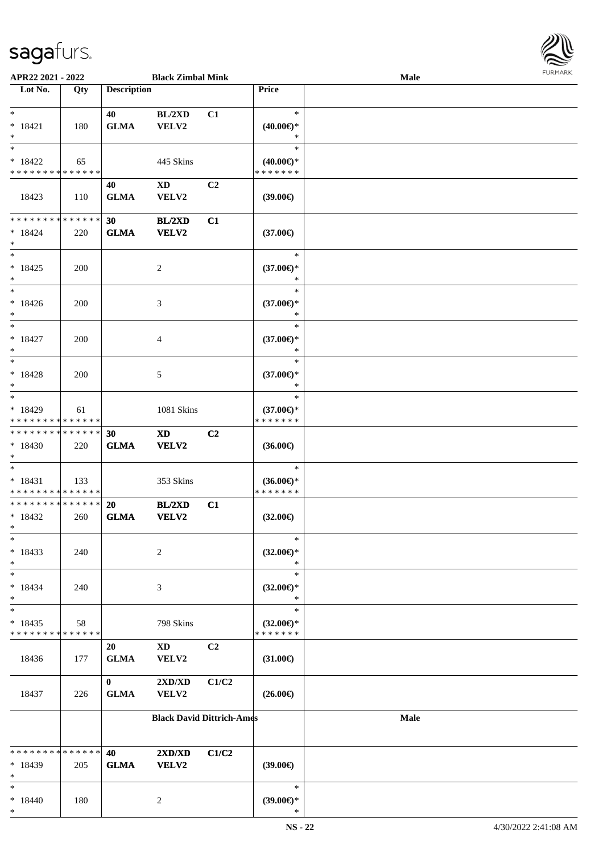

| APR22 2021 - 2022                        |             |                    | <b>Black Zimbal Mink</b>         |                |                                      | Male |  |
|------------------------------------------|-------------|--------------------|----------------------------------|----------------|--------------------------------------|------|--|
| Lot No.                                  | Qty         | <b>Description</b> |                                  |                | <b>Price</b>                         |      |  |
|                                          |             |                    |                                  |                |                                      |      |  |
| $*$                                      |             | 40                 | BL/2XD                           | C1             | $\ast$                               |      |  |
| $* 18421$                                | 180         | <b>GLMA</b>        | VELV2                            |                | $(40.00\epsilon)$ *                  |      |  |
| $*$                                      |             |                    |                                  |                | ∗                                    |      |  |
| $\overline{\ast}$                        |             |                    |                                  |                | $\ast$                               |      |  |
| $* 18422$                                | 65          |                    | 445 Skins                        |                | $(40.00\epsilon)$ *                  |      |  |
| * * * * * * * * * * * * * *              |             |                    |                                  |                | * * * * * * *                        |      |  |
|                                          |             | 40                 | $\mathbf{X}\mathbf{D}$           | C <sub>2</sub> |                                      |      |  |
| 18423                                    | 110         | <b>GLMA</b>        | VELV2                            |                | (39.00)                              |      |  |
|                                          |             |                    |                                  |                |                                      |      |  |
| ******** <mark>******</mark>             |             | 30                 | <b>BL/2XD</b>                    | C1             |                                      |      |  |
| $*18424$                                 | 220         | <b>GLMA</b>        | VELV2                            |                | $(37.00\epsilon)$                    |      |  |
| $*$<br>$*$                               |             |                    |                                  |                | $\ast$                               |      |  |
|                                          |             |                    |                                  |                |                                      |      |  |
| $* 18425$<br>$*$                         | 200         |                    | $\overline{c}$                   |                | $(37.00\epsilon)$ *<br>$\ast$        |      |  |
| $\ast$                                   |             |                    |                                  |                | $\ast$                               |      |  |
| $* 18426$                                | 200         |                    | 3                                |                | $(37.00\epsilon)$ *                  |      |  |
| $*$                                      |             |                    |                                  |                | $\ast$                               |      |  |
| $\ast$                                   |             |                    |                                  |                | $\ast$                               |      |  |
| $* 18427$                                | 200         |                    | 4                                |                | $(37.00\epsilon)$ *                  |      |  |
| $*$                                      |             |                    |                                  |                | $\ast$                               |      |  |
| $*$                                      |             |                    |                                  |                | $\ast$                               |      |  |
| $* 18428$                                | 200         |                    | 5                                |                | $(37.00€)$ *                         |      |  |
| $*$                                      |             |                    |                                  |                | $\ast$                               |      |  |
| $*$                                      |             |                    |                                  |                | $\ast$                               |      |  |
| $* 18429$                                | 61          |                    | 1081 Skins                       |                | $(37.00\epsilon)$ *                  |      |  |
| * * * * * * * * * * * * * *              |             |                    |                                  |                | * * * * * * *                        |      |  |
| * * * * * * * * * * * * * *              |             | 30                 | <b>XD</b>                        | C <sub>2</sub> |                                      |      |  |
| $*18430$                                 | 220         | <b>GLMA</b>        | VELV2                            |                | $(36.00\epsilon)$                    |      |  |
| $*$                                      |             |                    |                                  |                |                                      |      |  |
| $*$                                      |             |                    |                                  |                | $\ast$                               |      |  |
| $* 18431$<br>* * * * * * * * * * * * * * | 133         |                    | 353 Skins                        |                | $(36.00\epsilon)$ *<br>* * * * * * * |      |  |
| ******** <mark>******</mark>             |             | <b>20</b>          | <b>BL/2XD</b>                    | C1             |                                      |      |  |
| $* 18432$                                | 260         | <b>GLMA</b>        | <b>VELV2</b>                     |                | $(32.00\epsilon)$                    |      |  |
| $*$                                      |             |                    |                                  |                |                                      |      |  |
| $\ast$                                   |             |                    |                                  |                | $\ast$                               |      |  |
| $* 18433$                                | 240         |                    | 2                                |                | $(32.00\epsilon)$ *                  |      |  |
| $*$                                      |             |                    |                                  |                | $\ast$                               |      |  |
| $*$                                      |             |                    |                                  |                | $\ast$                               |      |  |
| $* 18434$                                | 240         |                    | 3                                |                | $(32.00\epsilon)$ *                  |      |  |
| $*$                                      |             |                    |                                  |                | $\ast$                               |      |  |
| $\ast$                                   |             |                    |                                  |                | $\ast$                               |      |  |
| $* 18435$                                | 58          |                    | 798 Skins                        |                | $(32.00\epsilon)$ *                  |      |  |
| * * * * * * * *                          | * * * * * * |                    |                                  |                | * * * * * * *                        |      |  |
|                                          |             | 20                 | $\mathbf{X}\mathbf{D}$           | C <sub>2</sub> |                                      |      |  |
| 18436                                    | 177         | <b>GLMA</b>        | VELV2                            |                | $(31.00\epsilon)$                    |      |  |
|                                          |             |                    |                                  |                |                                      |      |  |
|                                          |             | $\mathbf{0}$       | 2XD/XD                           | C1/C2          |                                      |      |  |
| 18437                                    | 226         | <b>GLMA</b>        | VELV2                            |                | $(26.00\epsilon)$                    |      |  |
|                                          |             |                    | <b>Black David Dittrich-Ames</b> |                |                                      | Male |  |
|                                          |             |                    |                                  |                |                                      |      |  |
|                                          |             |                    |                                  |                |                                      |      |  |
| * * * * * * * * * * * * * *              |             | 40                 | 2XD/XD                           | C1/C2          |                                      |      |  |
| * 18439                                  | 205         | <b>GLMA</b>        | <b>VELV2</b>                     |                | $(39.00\epsilon)$                    |      |  |
| $\ast$                                   |             |                    |                                  |                |                                      |      |  |
| $*$                                      |             |                    |                                  |                | $\ast$                               |      |  |
| $* 18440$                                | 180         |                    | $\overline{c}$                   |                | $(39.00\epsilon)$ *                  |      |  |
| $\ast$                                   |             |                    |                                  |                | $\ast$                               |      |  |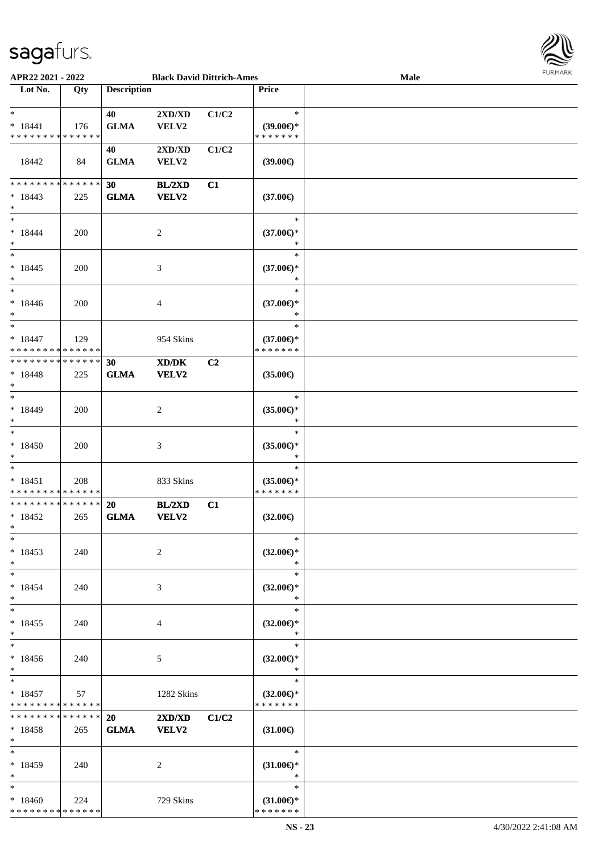

| APR22 2021 - 2022                                         |     |                    |                                                      | <b>Black David Dittrich-Ames</b> |                                                   | Male | <b>FUNITANN</b> |
|-----------------------------------------------------------|-----|--------------------|------------------------------------------------------|----------------------------------|---------------------------------------------------|------|-----------------|
| Lot No.                                                   | Qty | <b>Description</b> |                                                      |                                  | <b>Price</b>                                      |      |                 |
| $\ast$<br>$* 18441$<br>* * * * * * * * * * * * * *        | 176 | 40<br><b>GLMA</b>  | 2XD/XD<br>VELV2                                      | C1/C2                            | $\ast$<br>$(39.00\epsilon)$ *<br>*******          |      |                 |
| 18442                                                     | 84  | 40<br><b>GLMA</b>  | $2{\bf X}{\bf D}/{\bf X}{\bf D}$<br>VELV2            | C1/C2                            | $(39.00\epsilon)$                                 |      |                 |
| * * * * * * * * * * * * * *<br>$* 18443$<br>$\ast$        | 225 | 30<br><b>GLMA</b>  | BL/2XD<br>VELV2                                      | C1                               | $(37.00\epsilon)$                                 |      |                 |
| $\ast$<br>$* 18444$<br>$\ast$<br>$\overline{\phantom{0}}$ | 200 |                    | 2                                                    |                                  | $\ast$<br>$(37.00\epsilon)$ *<br>$\ast$           |      |                 |
| $* 18445$<br>$\ast$<br>$\overline{\phantom{a}^*}$         | 200 |                    | 3                                                    |                                  | $\ast$<br>$(37.00\epsilon)$ *<br>$\ast$           |      |                 |
| $* 18446$<br>$\ast$<br>$\ast$                             | 200 |                    | 4                                                    |                                  | $\ast$<br>$(37.00\epsilon)$ *<br>$\ast$<br>$\ast$ |      |                 |
| $* 18447$<br>* * * * * * * * * * * * * *                  | 129 |                    | 954 Skins                                            |                                  | $(37.00\epsilon)$ *<br>* * * * * * *              |      |                 |
| * * * * * * * * * * * * * *<br>$* 18448$<br>$\ast$        | 225 | 30<br><b>GLMA</b>  | $\mathbf{X}\mathbf{D}/\mathbf{D}\mathbf{K}$<br>VELV2 | C <sub>2</sub>                   | $(35.00\epsilon)$                                 |      |                 |
| $\ast$<br>* 18449<br>$\ast$                               | 200 |                    | $\overline{c}$                                       |                                  | $\ast$<br>$(35.00\epsilon)$ *<br>$\ast$           |      |                 |
| $\ast$<br>$*18450$<br>$\ast$                              | 200 |                    | 3                                                    |                                  | $\ast$<br>$(35.00\epsilon)$ *<br>$\ast$           |      |                 |
| $\ast$<br>$* 18451$<br>* * * * * * * * * * * * * *        | 208 |                    | 833 Skins                                            |                                  | $\ast$<br>$(35.00\epsilon)$ *<br>* * * * * * *    |      |                 |
| **************<br>$* 18452$<br>$*$<br>$*$                 | 265 | 20<br><b>GLMA</b>  | BL/2XD<br>VELV2                                      | C1                               | $(32.00\epsilon)$<br>$\ast$                       |      |                 |
| $* 18453$<br>$\ast$<br>$\ast$                             | 240 |                    | 2                                                    |                                  | $(32.00\epsilon)$ *<br>$\ast$<br>$\ast$           |      |                 |
| $* 18454$<br>$\ast$<br>$\ast$                             | 240 |                    | 3                                                    |                                  | $(32.00\epsilon)$ *<br>$\ast$<br>$\ast$           |      |                 |
| $* 18455$<br>$\ast$<br>$*$                                | 240 |                    | 4                                                    |                                  | $(32.00\epsilon)$ *<br>$\ast$<br>$\ast$           |      |                 |
| $* 18456$<br>$*$<br>$*$                                   | 240 |                    | 5                                                    |                                  | $(32.00\epsilon)$ *<br>$\ast$<br>$\ast$           |      |                 |
| $* 18457$<br>* * * * * * * * * * * * * *                  | 57  |                    | 1282 Skins                                           |                                  | $(32.00\epsilon)$ *<br>* * * * * * *              |      |                 |
| * * * * * * * * * * * * * * *<br>$*18458$<br>$*$          | 265 | 20<br><b>GLMA</b>  | $2XD/XD$ $C1/C2$<br><b>VELV2</b>                     |                                  | $(31.00\epsilon)$<br>Tarihi                       |      |                 |
| $\ast$<br>$* 18459$<br>$*$                                | 240 |                    | 2                                                    |                                  | $\ast$<br>$(31.00\epsilon)$ *<br>$\ast$           |      |                 |
| $\ast$<br>$*18460$<br>* * * * * * * * * * * * * *         | 224 |                    | 729 Skins                                            |                                  | $\ast$<br>$(31.00\epsilon)$ *<br>* * * * * * *    |      |                 |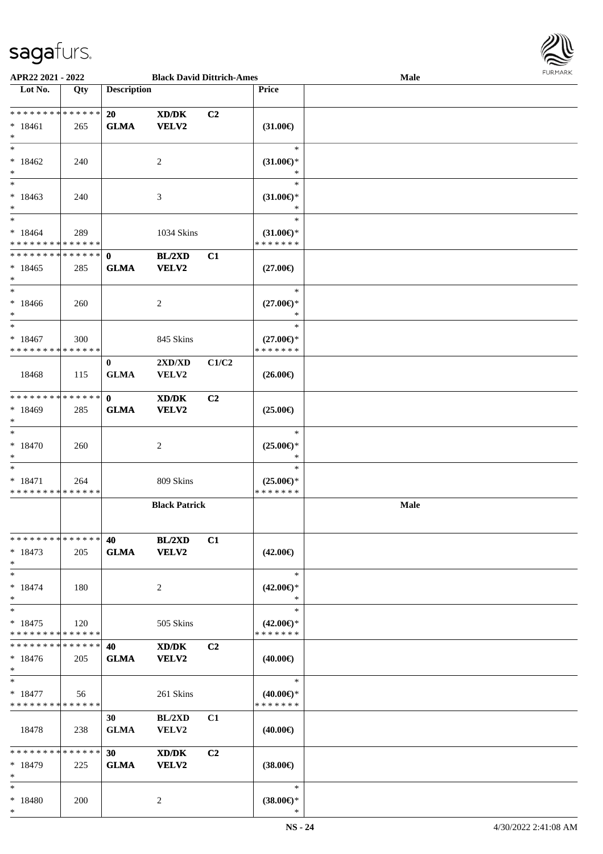

| APR22 2021 - 2022                                   |     |                                | <b>Black David Dittrich-Ames</b>                     |       |                                                | Male        | <b>FURMARK</b> |
|-----------------------------------------------------|-----|--------------------------------|------------------------------------------------------|-------|------------------------------------------------|-------------|----------------|
| $\overline{\phantom{1}}$ Lot No.                    | Qty | <b>Description</b>             |                                                      |       | Price                                          |             |                |
| * * * * * * * * * * * * * *<br>$* 18461$<br>$*$     | 265 | 20<br><b>GLMA</b>              | XD/DK<br>VELV2                                       | C2    | $(31.00\epsilon)$                              |             |                |
| $*$<br>$*18462$<br>$*$                              | 240 |                                | $\overline{c}$                                       |       | $\ast$<br>$(31.00\epsilon)$ *<br>$\ast$        |             |                |
| $\ast$<br>$*18463$<br>$*$                           | 240 |                                | 3                                                    |       | $\ast$<br>$(31.00\epsilon)$ *<br>$\ast$        |             |                |
| $*$<br>$*18464$<br>* * * * * * * * * * * * * *      | 289 |                                | 1034 Skins                                           |       | $\ast$<br>$(31.00\epsilon)$ *<br>* * * * * * * |             |                |
| * * * * * * * * * * * * * * *<br>$*18465$<br>$\ast$ | 285 | $\mathbf{0}$<br><b>GLMA</b>    | BL/2XD<br>VELV2                                      | C1    | $(27.00\epsilon)$                              |             |                |
| $*$<br>$*18466$<br>$*$<br>$\overline{\ast}$         | 260 |                                | 2                                                    |       | $\ast$<br>$(27.00\epsilon)$ *<br>*             |             |                |
| $*18467$<br>* * * * * * * * * * * * * *             | 300 |                                | 845 Skins                                            |       | $\ast$<br>$(27.00\epsilon)$ *<br>* * * * * * * |             |                |
| 18468                                               | 115 | $\bf{0}$<br><b>GLMA</b>        | $2{\bf X}{\bf D}/{\bf X}{\bf D}$<br>VELV2            | C1/C2 | $(26.00\epsilon)$                              |             |                |
| ******** <mark>******</mark><br>* 18469<br>$\ast$   | 285 | $\mathbf{0}$<br><b>GLMA</b>    | XD/DK<br>VELV2                                       | C2    | $(25.00\epsilon)$                              |             |                |
| $\ast$<br>$* 18470$<br>$\ast$                       | 260 |                                | 2                                                    |       | $\ast$<br>$(25.00\epsilon)$ *<br>$\ast$        |             |                |
| $\ast$<br>$* 18471$<br>* * * * * * * * * * * * * *  | 264 |                                | 809 Skins                                            |       | $\ast$<br>$(25.00\epsilon)$ *<br>* * * * * * * |             |                |
|                                                     |     |                                | <b>Black Patrick</b>                                 |       |                                                | <b>Male</b> |                |
| * * * * * * * * * * * * * *<br>$* 18473$<br>$*$     | 205 | 40<br><b>GLMA</b>              | <b>BL/2XD</b><br><b>VELV2</b>                        | C1    | $(42.00\epsilon)$                              |             |                |
| $*$<br>$* 18474$<br>$\ast$                          | 180 |                                | $\overline{c}$                                       |       | $\ast$<br>$(42.00\epsilon)$ *<br>$\ast$        |             |                |
| $\ast$<br>$* 18475$<br>* * * * * * * * * * * * * *  | 120 |                                | 505 Skins                                            |       | $\ast$<br>$(42.00\epsilon)$ *<br>* * * * * * * |             |                |
| * * * * * * * * * * * * * *<br>$*18476$<br>$*$      | 205 | 40<br><b>GLMA</b>              | $\mathbf{X}\mathbf{D}/\mathbf{D}\mathbf{K}$<br>VELV2 | C2    | $(40.00\epsilon)$                              |             |                |
| $*$<br>$* 18477$<br>* * * * * * * * * * * * * *     | 56  |                                | 261 Skins                                            |       | $\ast$<br>$(40.00\epsilon)$ *<br>* * * * * * * |             |                |
| 18478                                               | 238 | 30<br><b>GLMA</b>              | BL/2XD<br>VELV2                                      | C1    | $(40.00\epsilon)$                              |             |                |
| * * * * * * * * * * * * * *<br>$* 18479$<br>$*$     | 225 | 30 <sup>1</sup><br><b>GLMA</b> | XD/DK<br>VELV2                                       | C2    | $(38.00\epsilon)$                              |             |                |
| $*$<br>* 18480<br>$*$                               | 200 |                                | $\overline{c}$                                       |       | $\ast$<br>$(38.00\epsilon)$ *<br>$\ast$        |             |                |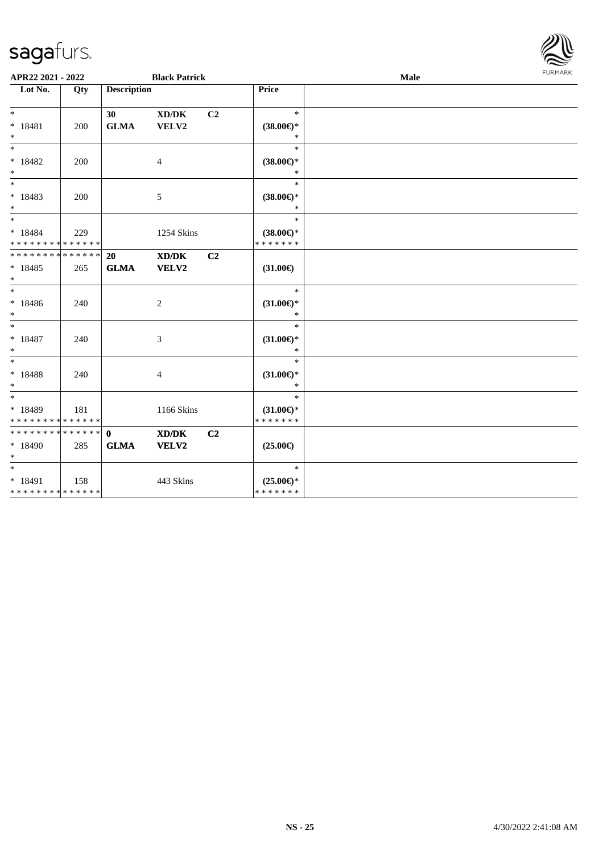

| APR22 2021 - 2022                                |     |                             | <b>Black Patrick</b>                         |                |                                                | Male | <b>FURMARK</b> |
|--------------------------------------------------|-----|-----------------------------|----------------------------------------------|----------------|------------------------------------------------|------|----------------|
| Lot No.                                          | Qty | <b>Description</b>          |                                              |                | <b>Price</b>                                   |      |                |
| $*$<br>$* 18481$<br>$*$                          | 200 | 30<br><b>GLMA</b>           | $\bold{X}\bold{D}/\bold{D}\bold{K}$<br>VELV2 | C <sub>2</sub> | $\ast$<br>$(38.00\epsilon)$ *<br>$\ast$        |      |                |
| $\overline{\phantom{0}}$<br>$* 18482$<br>$*$     | 200 |                             | 4                                            |                | $\ast$<br>$(38.00\epsilon)$ *<br>$\ast$        |      |                |
| $* 18483$<br>$*$                                 | 200 |                             | 5                                            |                | $\ast$<br>$(38.00\epsilon)$ *<br>$\ast$        |      |                |
| $*$<br>$* 18484$<br>* * * * * * * * * * * * * *  | 229 |                             | 1254 Skins                                   |                | $\ast$<br>$(38.00\epsilon)$ *<br>* * * * * * * |      |                |
| ******** <mark>******</mark><br>$* 18485$<br>$*$ | 265 | 20<br><b>GLMA</b>           | XD/DK<br>VELV2                               | C <sub>2</sub> | $(31.00\epsilon)$                              |      |                |
| $*$<br>* 18486<br>$*$                            | 240 |                             | 2                                            |                | $\ast$<br>$(31.00\epsilon)$ *<br>$\ast$        |      |                |
| $*$<br>$* 18487$<br>$*$                          | 240 |                             | 3                                            |                | $\ast$<br>$(31.00\epsilon)$ *<br>$\ast$        |      |                |
| $*$<br>$* 18488$<br>$\ast$                       | 240 |                             | 4                                            |                | $\ast$<br>$(31.00\epsilon)$ *<br>$\ast$        |      |                |
| $*$<br>$*18489$<br>* * * * * * * * * * * * * *   | 181 |                             | 1166 Skins                                   |                | $\ast$<br>$(31.00\epsilon)$ *<br>* * * * * * * |      |                |
| ******** <mark>******</mark><br>$*18490$<br>$*$  | 285 | $\mathbf{0}$<br><b>GLMA</b> | XD/DK<br>VELV2                               | C <sub>2</sub> | $(25.00\epsilon)$                              |      |                |
| $*$<br>$* 18491$<br>* * * * * * * * * * * * * *  | 158 |                             | 443 Skins                                    |                | $\ast$<br>$(25.00\epsilon)$ *<br>*******       |      |                |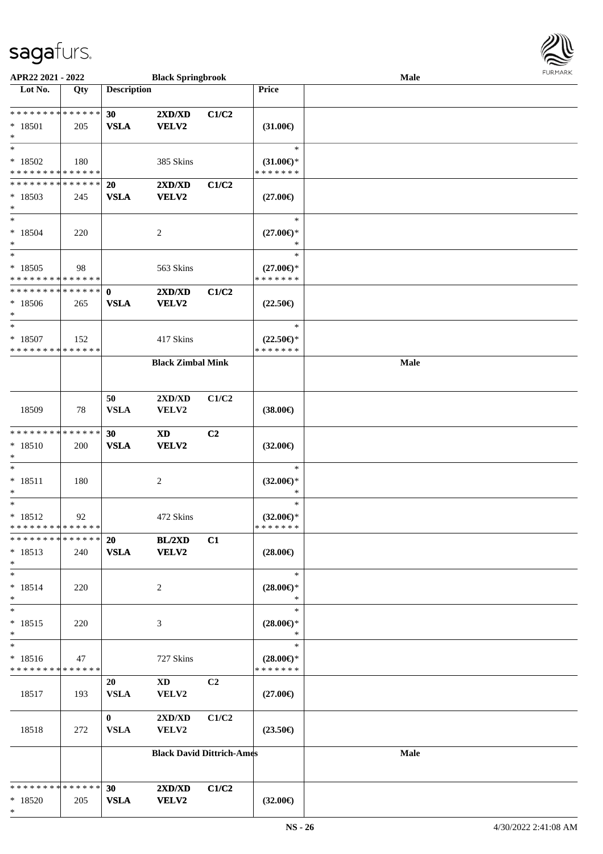

| APR22 2021 - 2022             |             |                    | <b>Black Springbrook</b>         |                |                          | <b>Male</b> |  |
|-------------------------------|-------------|--------------------|----------------------------------|----------------|--------------------------|-------------|--|
| Lot No.                       | Qty         | <b>Description</b> |                                  |                | <b>Price</b>             |             |  |
|                               |             |                    |                                  |                |                          |             |  |
| **************                |             | 30                 | 2XD/XD                           | C1/C2          |                          |             |  |
| * 18501                       | 205         | <b>VSLA</b>        | <b>VELV2</b>                     |                | $(31.00\epsilon)$        |             |  |
| $\ast$                        |             |                    |                                  |                |                          |             |  |
| $\ast$                        |             |                    |                                  |                | $\ast$                   |             |  |
| $*18502$                      | 180         |                    | 385 Skins                        |                | $(31.00\epsilon)$ *      |             |  |
| * * * * * * * * * * * * * *   |             |                    |                                  |                | * * * * * * *            |             |  |
| * * * * * * * * * * * * * *   |             | 20                 | 2XD/XD                           | C1/C2          |                          |             |  |
| $*18503$                      | 245         | <b>VSLA</b>        | <b>VELV2</b>                     |                | $(27.00\epsilon)$        |             |  |
| $\ast$                        |             |                    |                                  |                |                          |             |  |
| $\ast$                        |             |                    |                                  |                | $\ast$                   |             |  |
| $* 18504$                     | 220         |                    | $\boldsymbol{2}$                 |                | $(27.00\in)^\ast$        |             |  |
| $\ast$                        |             |                    |                                  |                | $\ast$                   |             |  |
| $\ast$                        |             |                    |                                  |                | $\ast$                   |             |  |
| $*18505$                      | 98          |                    | 563 Skins                        |                | $(27.00\epsilon)$ *      |             |  |
| * * * * * * * * * * * * * *   |             |                    |                                  |                | * * * * * * *            |             |  |
| ********                      | * * * * * * | $\mathbf{0}$       | 2XD/XD                           | C1/C2          |                          |             |  |
| $*18506$                      | 265         | <b>VSLA</b>        | <b>VELV2</b>                     |                | $(22.50\epsilon)$        |             |  |
| $\ast$                        |             |                    |                                  |                |                          |             |  |
| $\ast$                        |             |                    |                                  |                | $\ast$                   |             |  |
| $* 18507$                     | 152         |                    | 417 Skins                        |                | $(22.50\epsilon)$ *      |             |  |
| * * * * * * * * * * * * * *   |             |                    |                                  |                | * * * * * * *            |             |  |
|                               |             |                    | <b>Black Zimbal Mink</b>         |                |                          | Male        |  |
|                               |             |                    |                                  |                |                          |             |  |
|                               |             |                    |                                  |                |                          |             |  |
|                               |             | 50                 | 2XD/XD                           | C1/C2          |                          |             |  |
| 18509                         | 78          | <b>VSLA</b>        | VELV2                            |                | $(38.00\epsilon)$        |             |  |
|                               |             |                    |                                  |                |                          |             |  |
| * * * * * * * * * * * * * *   |             | 30                 | $\boldsymbol{\mathrm{XD}}$       | C <sub>2</sub> |                          |             |  |
| $* 18510$                     | 200         | <b>VSLA</b>        | <b>VELV2</b>                     |                | $(32.00\epsilon)$        |             |  |
| $\ast$<br>$\ast$              |             |                    |                                  |                | $\ast$                   |             |  |
|                               |             |                    |                                  |                |                          |             |  |
| $* 18511$<br>∗                | 180         |                    | $\sqrt{2}$                       |                | $(32.00\epsilon)$ *<br>* |             |  |
| $\ast$                        |             |                    |                                  |                | $\ast$                   |             |  |
| $* 18512$                     | 92          |                    | 472 Skins                        |                | $(32.00\epsilon)$ *      |             |  |
| * * * * * * * * * * * * * * * |             |                    |                                  |                | * * * * * * *            |             |  |
| * * * * * * * * * * * * * *   |             | <b>20</b>          | BL/2XD                           | C1             |                          |             |  |
| $* 18513$                     | 240         | <b>VSLA</b>        | VELV2                            |                | $(28.00\epsilon)$        |             |  |
| $\ast$                        |             |                    |                                  |                |                          |             |  |
| $\ast$                        |             |                    |                                  |                | $\ast$                   |             |  |
| $* 18514$                     | 220         |                    | 2                                |                | $(28.00\epsilon)$ *      |             |  |
| $\ast$                        |             |                    |                                  |                | $\ast$                   |             |  |
| $\ast$                        |             |                    |                                  |                | $\ast$                   |             |  |
| $* 18515$                     | 220         |                    | $\mathfrak{Z}$                   |                | $(28.00\epsilon)$ *      |             |  |
| $\ast$                        |             |                    |                                  |                | $\ast$                   |             |  |
| $\ast$                        |             |                    |                                  |                | $\ast$                   |             |  |
| $* 18516$                     | 47          |                    | 727 Skins                        |                | $(28.00\epsilon)$ *      |             |  |
| * * * * * * * * * * * * * *   |             |                    |                                  |                | * * * * * * *            |             |  |
|                               |             | 20                 | $\mathbf{X}\mathbf{D}$           | C2             |                          |             |  |
| 18517                         | 193         | <b>VSLA</b>        | VELV2                            |                | $(27.00\epsilon)$        |             |  |
|                               |             |                    |                                  |                |                          |             |  |
|                               |             | $\mathbf{0}$       | $2{\bf X}{\bf D}/{\bf X}{\bf D}$ | C1/C2          |                          |             |  |
| 18518                         | 272         | <b>VSLA</b>        | VELV2                            |                | $(23.50\epsilon)$        |             |  |
|                               |             |                    |                                  |                |                          |             |  |
|                               |             |                    | <b>Black David Dittrich-Ames</b> |                |                          | Male        |  |
|                               |             |                    |                                  |                |                          |             |  |
|                               |             |                    |                                  |                |                          |             |  |
| * * * * * * * * * * * * * *   |             | 30                 | 2XD/XD                           | C1/C2          |                          |             |  |
| $*18520$                      | 205         | <b>VSLA</b>        | <b>VELV2</b>                     |                | $(32.00\epsilon)$        |             |  |
| $*$                           |             |                    |                                  |                |                          |             |  |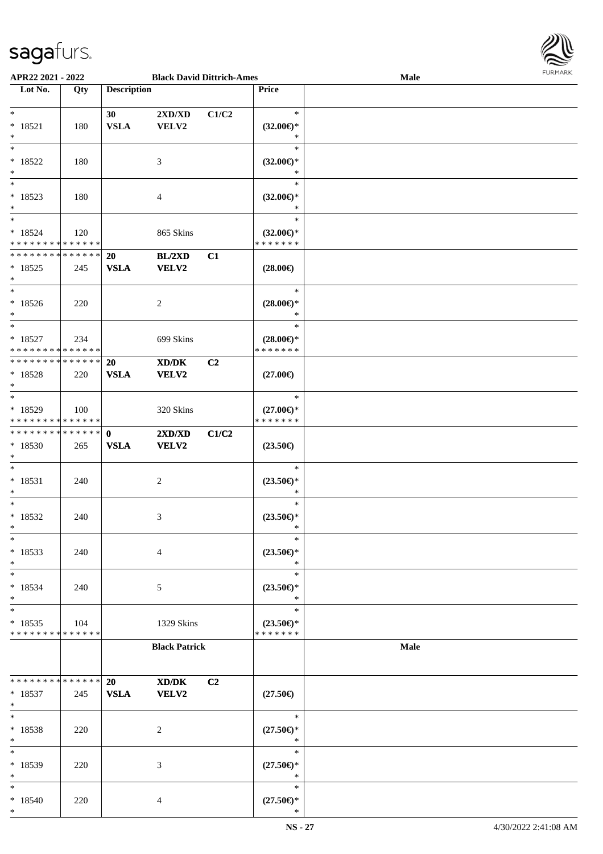

| APR22 2021 - 2022             |     |                    | <b>Black David Dittrich-Ames</b>                                                                     |                |                     | <b>Male</b> |  |
|-------------------------------|-----|--------------------|------------------------------------------------------------------------------------------------------|----------------|---------------------|-------------|--|
| Lot No.                       | Qty | <b>Description</b> |                                                                                                      |                | Price               |             |  |
|                               |     |                    |                                                                                                      |                |                     |             |  |
| $*$                           |     | 30                 | 2XD/XD                                                                                               | C1/C2          | $\ast$              |             |  |
| $* 18521$                     | 180 | <b>VSLA</b>        | VELV2                                                                                                |                | $(32.00\epsilon)$ * |             |  |
| $*$                           |     |                    |                                                                                                      |                | $\ast$              |             |  |
| $\overline{\ast}$             |     |                    |                                                                                                      |                | $\ast$              |             |  |
|                               |     |                    |                                                                                                      |                |                     |             |  |
| $* 18522$                     | 180 |                    | 3                                                                                                    |                | $(32.00\epsilon)$ * |             |  |
| $\ast$                        |     |                    |                                                                                                      |                | $\ast$              |             |  |
| $\overline{\phantom{0}}$      |     |                    |                                                                                                      |                | $\ast$              |             |  |
| $* 18523$                     | 180 |                    | 4                                                                                                    |                | $(32.00\epsilon)$ * |             |  |
| $*$                           |     |                    |                                                                                                      |                | $\ast$              |             |  |
| $*$                           |     |                    |                                                                                                      |                | $\ast$              |             |  |
|                               |     |                    |                                                                                                      |                |                     |             |  |
| $* 18524$                     | 120 |                    | 865 Skins                                                                                            |                | $(32.00\epsilon)$ * |             |  |
| * * * * * * * * * * * * * *   |     |                    |                                                                                                      |                | * * * * * * *       |             |  |
| * * * * * * * * * * * * * *   |     | 20                 | <b>BL/2XD</b>                                                                                        | C1             |                     |             |  |
| $* 18525$                     | 245 | <b>VSLA</b>        | VELV2                                                                                                |                | $(28.00\epsilon)$   |             |  |
| $*$                           |     |                    |                                                                                                      |                |                     |             |  |
| $*$                           |     |                    |                                                                                                      |                | $\ast$              |             |  |
| $* 18526$                     | 220 |                    | 2                                                                                                    |                | $(28.00\epsilon)$ * |             |  |
|                               |     |                    |                                                                                                      |                |                     |             |  |
| $*$                           |     |                    |                                                                                                      |                | $\ast$              |             |  |
| $\ast$                        |     |                    |                                                                                                      |                | $\ast$              |             |  |
| $* 18527$                     | 234 |                    | 699 Skins                                                                                            |                | $(28.00\epsilon)$ * |             |  |
| * * * * * * * * * * * * * *   |     |                    |                                                                                                      |                | * * * * * * *       |             |  |
| * * * * * * * * * * * * * * * |     | 20                 | XD/DK                                                                                                | C <sub>2</sub> |                     |             |  |
| $*18528$                      | 220 | <b>VSLA</b>        | VELV2                                                                                                |                | $(27.00\epsilon)$   |             |  |
| $*$                           |     |                    |                                                                                                      |                |                     |             |  |
| $*$                           |     |                    |                                                                                                      |                | $\ast$              |             |  |
|                               |     |                    |                                                                                                      |                |                     |             |  |
| $* 18529$                     | 100 |                    | 320 Skins                                                                                            |                | $(27.00\epsilon)$ * |             |  |
| * * * * * * * * * * * * * *   |     |                    |                                                                                                      |                | * * * * * * *       |             |  |
| * * * * * * * * * * * * * * * |     | $\mathbf{0}$       | 2XD/XD                                                                                               | C1/C2          |                     |             |  |
| * 18530                       | 265 | <b>VSLA</b>        | VELV2                                                                                                |                | $(23.50\epsilon)$   |             |  |
| $*$                           |     |                    |                                                                                                      |                |                     |             |  |
| $*$                           |     |                    |                                                                                                      |                | $\ast$              |             |  |
| $* 18531$                     | 240 |                    |                                                                                                      |                | $(23.50\epsilon)$ * |             |  |
| $*$                           |     |                    | $\overline{c}$                                                                                       |                | $\ast$              |             |  |
|                               |     |                    |                                                                                                      |                |                     |             |  |
| $*$                           |     |                    |                                                                                                      |                | $\ast$              |             |  |
| $* 18532$                     | 240 |                    | 3                                                                                                    |                | $(23.50\epsilon)$ * |             |  |
| $*$                           |     |                    |                                                                                                      |                | $\ast$              |             |  |
| $*$                           |     |                    |                                                                                                      |                | $\ast$              |             |  |
| $* 18533$                     | 240 |                    | $\overline{4}$                                                                                       |                | $(23.50\epsilon)$ * |             |  |
| $*$                           |     |                    |                                                                                                      |                | $\ast$              |             |  |
| $*$                           |     |                    |                                                                                                      |                | $\ast$              |             |  |
|                               |     |                    |                                                                                                      |                |                     |             |  |
| * 18534                       | 240 |                    | 5                                                                                                    |                | $(23.50\epsilon)$ * |             |  |
| $*$                           |     |                    |                                                                                                      |                | $\ast$              |             |  |
| $*$                           |     |                    |                                                                                                      |                | $\ast$              |             |  |
| $* 18535$                     | 104 |                    | 1329 Skins                                                                                           |                | $(23.50\epsilon)$ * |             |  |
| * * * * * * * * * * * * * *   |     |                    |                                                                                                      |                | * * * * * * *       |             |  |
|                               |     |                    | <b>Black Patrick</b>                                                                                 |                |                     | Male        |  |
|                               |     |                    |                                                                                                      |                |                     |             |  |
|                               |     |                    |                                                                                                      |                |                     |             |  |
|                               |     |                    |                                                                                                      |                |                     |             |  |
| * * * * * * * * * * * * * * * |     | <b>20</b>          | $\boldsymbol{\text{X}}\boldsymbol{\text{D}}\boldsymbol{/}\boldsymbol{\text{D}}\boldsymbol{\text{K}}$ | C2             |                     |             |  |
| $* 18537$                     | 245 | <b>VSLA</b>        | <b>VELV2</b>                                                                                         |                | $(27.50\epsilon)$   |             |  |
| $*$                           |     |                    |                                                                                                      |                |                     |             |  |
| $*$                           |     |                    |                                                                                                      |                | $\ast$              |             |  |
| * 18538                       | 220 |                    | 2                                                                                                    |                | $(27.50\epsilon)$ * |             |  |
| $*$                           |     |                    |                                                                                                      |                | $\ast$              |             |  |
| $*$                           |     |                    |                                                                                                      |                | $\ast$              |             |  |
|                               |     |                    |                                                                                                      |                |                     |             |  |
| * 18539                       | 220 |                    | 3                                                                                                    |                | $(27.50\epsilon)$ * |             |  |
| $*$                           |     |                    |                                                                                                      |                | $\ast$              |             |  |
| $*$                           |     |                    |                                                                                                      |                | $\ast$              |             |  |
| $* 18540$                     | 220 |                    | 4                                                                                                    |                | $(27.50\epsilon)$ * |             |  |
| $*$                           |     |                    |                                                                                                      |                | $\ast$              |             |  |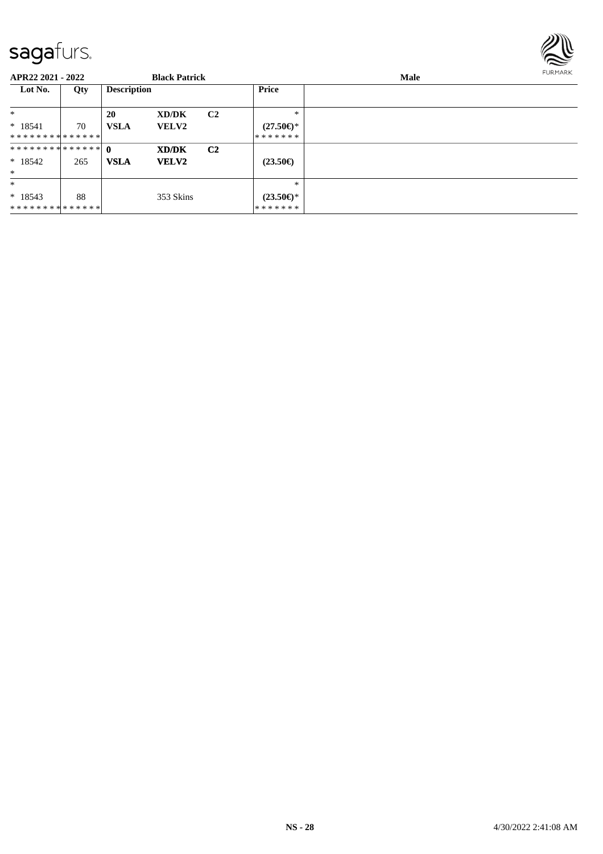

| APR22 2021 - 2022           |     |                    | <b>Black Patrick</b> |                |                                | <b>Male</b> |  |  |  |
|-----------------------------|-----|--------------------|----------------------|----------------|--------------------------------|-------------|--|--|--|
| Lot No.                     | Qty | <b>Description</b> |                      |                | <b>Price</b>                   |             |  |  |  |
| $\ast$                      |     | 20                 | XD/DK                | C <sub>2</sub> | $*$                            |             |  |  |  |
| $* 18541$                   | 70  | <b>VSLA</b>        | <b>VELV2</b>         |                | $(27.50\epsilon)$ *            |             |  |  |  |
| **************              |     |                    |                      |                | * * * * * * *                  |             |  |  |  |
|                             |     |                    | XD/DK                | C <sub>2</sub> |                                |             |  |  |  |
| $*18542$                    | 265 | <b>VSLA</b>        | <b>VELV2</b>         |                | $(23.50\epsilon)$              |             |  |  |  |
| $\ast$                      |     |                    |                      |                |                                |             |  |  |  |
| $\ast$                      |     |                    |                      |                | $*$                            |             |  |  |  |
| $* 18543$<br>************** | 88  |                    | 353 Skins            |                | $(23.50\epsilon)$ *<br>******* |             |  |  |  |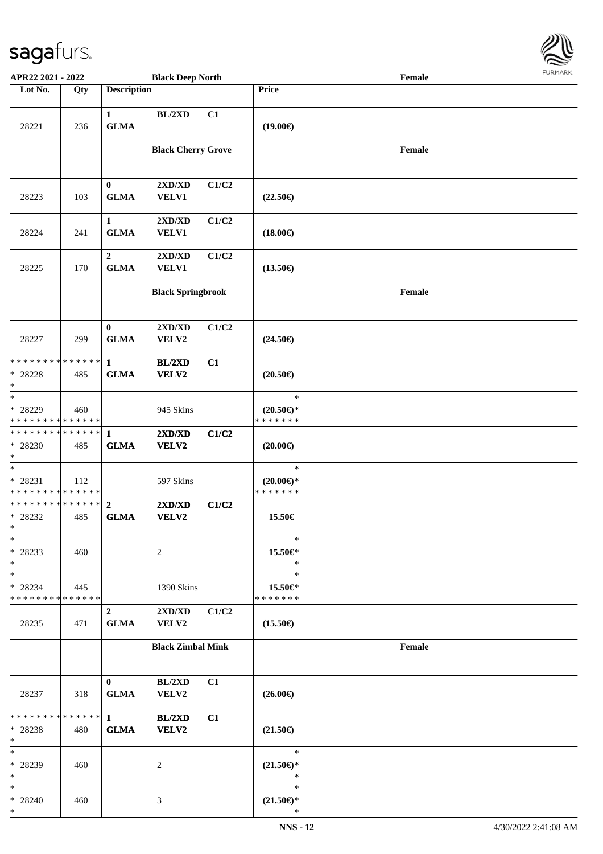

| APR22 2021 - 2022                                               |     |                                 | <b>Black Deep North</b>       |       |                                                | Female |  |
|-----------------------------------------------------------------|-----|---------------------------------|-------------------------------|-------|------------------------------------------------|--------|--|
| Lot No.                                                         | Qty | <b>Description</b>              |                               |       | Price                                          |        |  |
| 28221                                                           | 236 | $\mathbf{1}$<br><b>GLMA</b>     | BL/2XD                        | C1    | $(19.00\epsilon)$                              |        |  |
|                                                                 |     |                                 | <b>Black Cherry Grove</b>     |       |                                                | Female |  |
| 28223                                                           | 103 | $\bf{0}$<br><b>GLMA</b>         | 2XD/XD<br>VELV1               | C1/C2 | $(22.50\epsilon)$                              |        |  |
| 28224                                                           | 241 | $\mathbf{1}$<br><b>GLMA</b>     | 2XD/XD<br><b>VELV1</b>        | C1/C2 | $(18.00\epsilon)$                              |        |  |
| 28225                                                           | 170 | $\boldsymbol{2}$<br><b>GLMA</b> | 2XD/XD<br>VELV1               | C1/C2 | $(13.50\epsilon)$                              |        |  |
|                                                                 |     |                                 | <b>Black Springbrook</b>      |       |                                                | Female |  |
| 28227                                                           | 299 | $\bf{0}$<br><b>GLMA</b>         | 2XD/XD<br>VELV2               | C1/C2 | $(24.50\epsilon)$                              |        |  |
| * * * * * * * * * * * * * *<br>* 28228<br>$\ast$                | 485 | $\mathbf{1}$<br><b>GLMA</b>     | BL/2XD<br>VELV2               | C1    | $(20.50\epsilon)$                              |        |  |
| $\ast$<br>* 28229<br>* * * * * * * * * * * * * *                | 460 |                                 | 945 Skins                     |       | $\ast$<br>$(20.50 \in )^*$<br>* * * * * * *    |        |  |
| * * * * * * * * * * * * * *<br>* 28230<br>$\ast$                | 485 | $\mathbf{1}$<br><b>GLMA</b>     | 2XD/XD<br>VELV2               | C1/C2 | $(20.00\epsilon)$                              |        |  |
| $\ast$<br>* 28231<br>* * * * * * * * * * * * * *                | 112 |                                 | 597 Skins                     |       | $\ast$<br>$(20.00\epsilon)$ *<br>* * * * * * * |        |  |
| * * * * * * * * * * * * * *<br>* 28232<br>$*$                   | 485 | $\mathbf{2}$<br><b>GLMA</b>     | 2XD/XD<br>VELV2               | C1/C2 | 15.50€                                         |        |  |
| $\ast$<br>* 28233<br>$\ast$                                     | 460 |                                 | 2                             |       | $\ast$<br>15.50€*<br>$\ast$                    |        |  |
| $\ast$<br>* 28234<br>* * * * * * * * * * * * * *                | 445 |                                 | 1390 Skins                    |       | $\ast$<br>15.50€*<br>* * * * * * *             |        |  |
| 28235                                                           | 471 | $\overline{2}$<br><b>GLMA</b>   | 2XD/XD<br><b>VELV2</b>        | C1/C2 | $(15.50\epsilon)$                              |        |  |
|                                                                 |     |                                 | <b>Black Zimbal Mink</b>      |       |                                                | Female |  |
| 28237                                                           | 318 | $\mathbf{0}$<br><b>GLMA</b>     | BL/2XD<br>VELV2               | C1    | $(26.00\epsilon)$                              |        |  |
| * * * * * * * * <mark>* * * * * * *</mark><br>* 28238<br>$\ast$ | 480 | $\mathbf{1}$<br><b>GLMA</b>     | <b>BL/2XD</b><br><b>VELV2</b> | C1    | $(21.50\epsilon)$                              |        |  |
| $\ast$<br>* 28239<br>$\ast$                                     | 460 |                                 | 2                             |       | $\ast$<br>$(21.50\epsilon)$ *<br>$\ast$        |        |  |
| $\ast$<br>* 28240<br>$\ast$                                     | 460 |                                 | 3                             |       | $\ast$<br>$(21.50\epsilon)$ *<br>$\ast$        |        |  |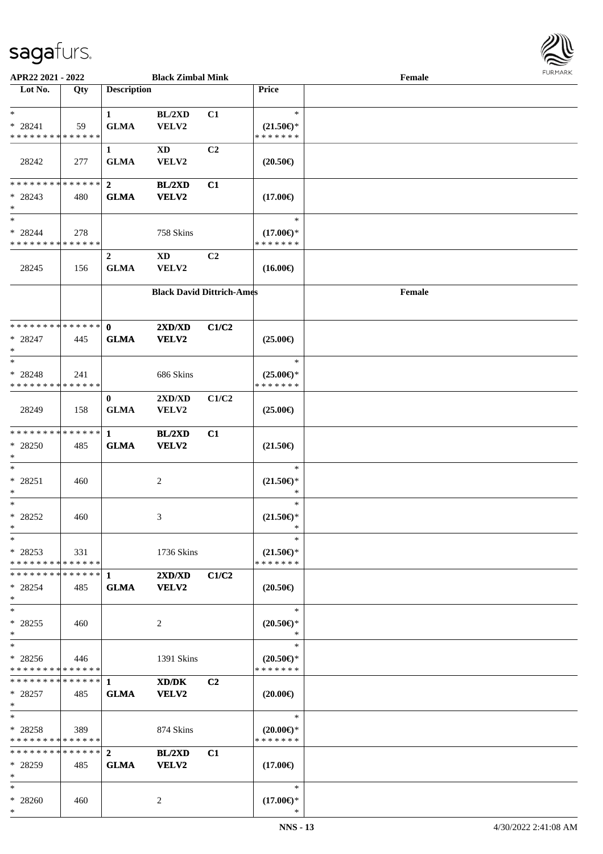

| APR22 2021 - 2022             |     |                    | <b>Black Zimbal Mink</b>         |                |                     | Female |  |
|-------------------------------|-----|--------------------|----------------------------------|----------------|---------------------|--------|--|
| Lot No.                       | Qty | <b>Description</b> |                                  |                | <b>Price</b>        |        |  |
|                               |     |                    |                                  |                |                     |        |  |
| $*$                           |     | $\mathbf{1}$       | BL/2XD                           | C1             | $\ast$              |        |  |
| $* 28241$                     | 59  | <b>GLMA</b>        | VELV2                            |                | $(21.50\epsilon)$ * |        |  |
| * * * * * * * * * * * * * *   |     |                    |                                  |                | * * * * * * *       |        |  |
|                               |     | $\mathbf{1}$       | $\mathbf{X}\mathbf{D}$           | C2             |                     |        |  |
| 28242                         | 277 | <b>GLMA</b>        | VELV2                            |                | $(20.50\epsilon)$   |        |  |
|                               |     |                    |                                  |                |                     |        |  |
| * * * * * * * * * * * * * * * |     |                    |                                  |                |                     |        |  |
|                               |     | $\overline{2}$     | <b>BL/2XD</b>                    | C1             |                     |        |  |
| $* 28243$                     | 480 | <b>GLMA</b>        | VELV2                            |                | $(17.00\epsilon)$   |        |  |
| $*$<br>$\ast$                 |     |                    |                                  |                |                     |        |  |
|                               |     |                    |                                  |                | $\ast$              |        |  |
| * 28244                       | 278 |                    | 758 Skins                        |                | $(17.00\epsilon)$ * |        |  |
| * * * * * * * * * * * * * *   |     |                    |                                  |                | * * * * * * *       |        |  |
|                               |     | $\boldsymbol{2}$   | $\mathbf{X}\mathbf{D}$           | C <sub>2</sub> |                     |        |  |
| 28245                         | 156 | <b>GLMA</b>        | VELV2                            |                | $(16.00\epsilon)$   |        |  |
|                               |     |                    |                                  |                |                     |        |  |
|                               |     |                    | <b>Black David Dittrich-Ames</b> |                |                     | Female |  |
|                               |     |                    |                                  |                |                     |        |  |
|                               |     |                    |                                  |                |                     |        |  |
| * * * * * * * * * * * * * * * |     | $\mathbf{0}$       | 2XD/XD                           | C1/C2          |                     |        |  |
| $* 28247$                     | 445 | <b>GLMA</b>        | VELV2                            |                | $(25.00\epsilon)$   |        |  |
| $\ast$                        |     |                    |                                  |                |                     |        |  |
| $\ast$                        |     |                    |                                  |                | $\ast$              |        |  |
| * 28248                       | 241 |                    | 686 Skins                        |                | $(25.00\epsilon)$ * |        |  |
| * * * * * * * * * * * * * *   |     |                    |                                  |                | * * * * * * *       |        |  |
|                               |     | $\mathbf{0}$       | 2XD/XD                           | C1/C2          |                     |        |  |
| 28249                         | 158 | <b>GLMA</b>        | VELV2                            |                | $(25.00\epsilon)$   |        |  |
|                               |     |                    |                                  |                |                     |        |  |
| * * * * * * * * * * * * * *   |     | $\mathbf{1}$       |                                  | C1             |                     |        |  |
|                               |     |                    | <b>BL/2XD</b>                    |                |                     |        |  |
| * 28250                       | 485 | <b>GLMA</b>        | VELV2                            |                | $(21.50\epsilon)$   |        |  |
| $*$<br>$*$                    |     |                    |                                  |                | $\ast$              |        |  |
|                               |     |                    |                                  |                |                     |        |  |
| $* 28251$                     | 460 |                    | $\overline{c}$                   |                | $(21.50\epsilon)$ * |        |  |
| $*$                           |     |                    |                                  |                | *                   |        |  |
| $*$                           |     |                    |                                  |                | $\ast$              |        |  |
| * 28252                       | 460 |                    | 3                                |                | $(21.50\epsilon)$ * |        |  |
| $*$                           |     |                    |                                  |                | $\ast$              |        |  |
| $*$                           |     |                    |                                  |                | $\ast$              |        |  |
| $* 28253$                     | 331 |                    | 1736 Skins                       |                | $(21.50\epsilon)$ * |        |  |
| * * * * * * * * * * * * * * * |     |                    |                                  |                | * * * * * * *       |        |  |
| * * * * * * * * * * * * * * * |     | 1                  | 2XD/XD                           | C1/C2          |                     |        |  |
| * 28254                       | 485 | <b>GLMA</b>        | <b>VELV2</b>                     |                | $(20.50\epsilon)$   |        |  |
| $*$                           |     |                    |                                  |                |                     |        |  |
| $*$                           |     |                    |                                  |                | $\ast$              |        |  |
| * 28255                       | 460 |                    | 2                                |                | $(20.50 \in )^*$    |        |  |
| $*$                           |     |                    |                                  |                | $\ast$              |        |  |
| $*$                           |     |                    |                                  |                | $\ast$              |        |  |
| $* 28256$                     | 446 |                    | 1391 Skins                       |                | $(20.50 \in )^*$    |        |  |
| * * * * * * * * * * * * * *   |     |                    |                                  |                | * * * * * * *       |        |  |
|                               |     |                    | XD/DK                            | C <sub>2</sub> |                     |        |  |
| $* 28257$                     | 485 | <b>GLMA</b>        | VELV2                            |                | $(20.00\epsilon)$   |        |  |
| $*$                           |     |                    |                                  |                |                     |        |  |
| $*$                           |     |                    |                                  |                | $\ast$              |        |  |
| $*28258$                      | 389 |                    | 874 Skins                        |                | $(20.00\epsilon)$ * |        |  |
| * * * * * * * * * * * * * *   |     |                    |                                  |                | * * * * * * *       |        |  |
| * * * * * * * * * * * * * * * |     | $\mathbf{2}$       |                                  |                |                     |        |  |
|                               |     |                    | <b>BL/2XD</b>                    | C1             |                     |        |  |
| * 28259                       | 485 | <b>GLMA</b>        | VELV2                            |                | $(17.00\epsilon)$   |        |  |
| $*$                           |     |                    |                                  |                |                     |        |  |
| $*$                           |     |                    |                                  |                | $\ast$              |        |  |
| * 28260                       | 460 |                    | 2                                |                | $(17.00\epsilon)$ * |        |  |
| $*$                           |     |                    |                                  |                | *                   |        |  |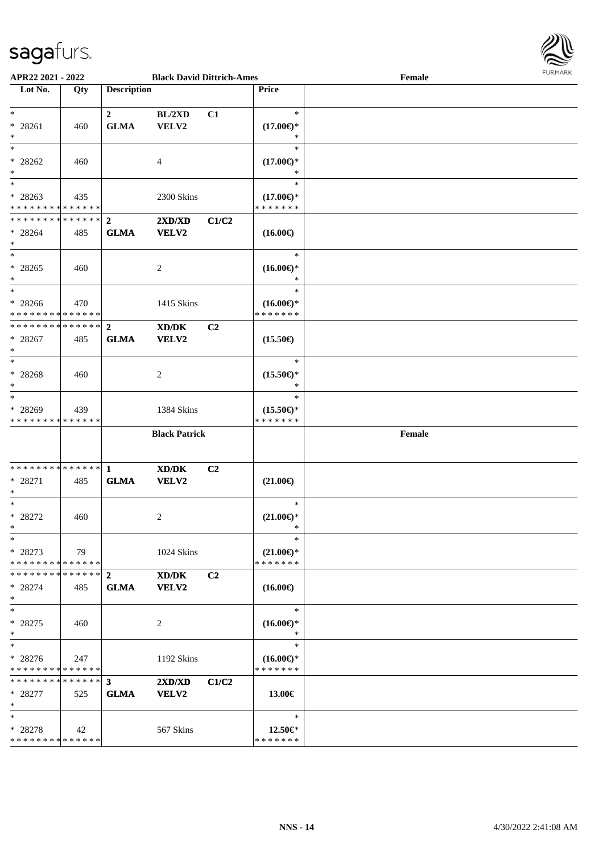

| APR22 2021 - 2022                                                 |     |                               | <b>Black David Dittrich-Ames</b> |                |                                                | Female | <b>FUNITANN</b> |
|-------------------------------------------------------------------|-----|-------------------------------|----------------------------------|----------------|------------------------------------------------|--------|-----------------|
| Lot No.                                                           | Qty | <b>Description</b>            |                                  |                | Price                                          |        |                 |
| $*$<br>$* 28261$<br>$\ast$                                        | 460 | $\mathbf{2}$<br><b>GLMA</b>   | BL/2XD<br>VELV2                  | C1             | $\ast$<br>$(17.00\epsilon)$ *<br>∗             |        |                 |
| $\ast$<br>$* 28262$<br>$\ast$                                     | 460 |                               | 4                                |                | $\ast$<br>$(17.00\epsilon)$ *<br>∗             |        |                 |
| $\ast$<br>$* 28263$<br>* * * * * * * * <mark>* * * * * *</mark> * | 435 |                               | 2300 Skins                       |                | $\ast$<br>$(17.00\epsilon)$ *<br>* * * * * * * |        |                 |
| $* 28264$<br>$\ast$<br>$*$                                        | 485 | <b>GLMA</b>                   | 2XD/XD<br><b>VELV2</b>           | C1/C2          | $(16.00\epsilon)$<br>$\ast$                    |        |                 |
| $* 28265$<br>$\ast$<br>$\ddot{x}$                                 | 460 |                               | 2                                |                | $(16.00\epsilon)$ *<br>*<br>$\ast$             |        |                 |
| $* 28266$<br>* * * * * * * * * * * * * * *                        | 470 |                               | 1415 Skins                       |                | $(16.00\epsilon)$ *<br>* * * * * * *           |        |                 |
| * * * * * * * * <mark>* * * * * * *</mark><br>$* 28267$<br>$\ast$ | 485 | $\overline{2}$<br><b>GLMA</b> | XD/DK<br><b>VELV2</b>            | C <sub>2</sub> | $(15.50\epsilon)$                              |        |                 |
| $\ast$<br>$* 28268$<br>$\ast$                                     | 460 |                               | 2                                |                | $\ast$<br>$(15.50\epsilon)$ *<br>$\ast$        |        |                 |
| $\ast$<br>$* 28269$<br>* * * * * * * * * * * * * *                | 439 |                               | 1384 Skins                       |                | $\ast$<br>$(15.50\epsilon)$ *<br>* * * * * * * |        |                 |
|                                                                   |     |                               | <b>Black Patrick</b>             |                |                                                | Female |                 |
| * 28271<br>$\ast$                                                 | 485 | <b>GLMA</b>                   | XD/DK<br>VELV2                   | C2             | $(21.00\epsilon)$                              |        |                 |
| $*$<br>$* 28272$<br>$\ast$                                        | 460 |                               | 2                                |                | $\ast$<br>$(21.00\epsilon)$ *<br>$\sim$        |        |                 |
| $\ast$<br>* 28273<br>* * * * * * * * <mark>* * * * * *</mark> *   | 79  |                               | 1024 Skins                       |                | $\ast$<br>$(21.00\epsilon)$ *<br>* * * * * * * |        |                 |
| * * * * * * * * * * * * * * <mark>*</mark><br>$* 28274$<br>$\ast$ | 485 | $2^{\circ}$<br><b>GLMA</b>    | XD/DK<br><b>VELV2</b>            | C <sub>2</sub> | $(16.00\epsilon)$                              |        |                 |
| $\ast$<br>* 28275<br>$\ast$                                       | 460 |                               | 2                                |                | $\ast$<br>$(16.00\epsilon)$ *<br>$\ast$        |        |                 |
| $\ast$<br>$* 28276$<br>* * * * * * * * <mark>* * * * * *</mark>   | 247 |                               | 1192 Skins                       |                | $\ast$<br>$(16.00\epsilon)$ *<br>* * * * * * * |        |                 |
| $* 28277$<br>$\ast$                                               | 525 | <b>GLMA</b>                   | 2XD/XD<br><b>VELV2</b>           | C1/C2          | 13.00€                                         |        |                 |
| $\ast$<br>$* 28278$<br>* * * * * * * * * * * * * * *              | 42  |                               | 567 Skins                        |                | $\ast$<br>12.50€*<br>* * * * * * *             |        |                 |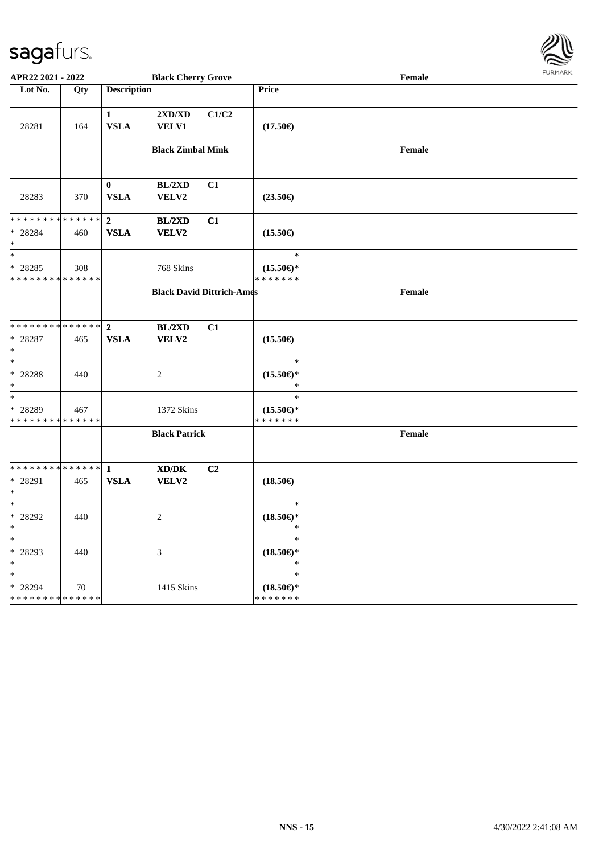

| APR22 2021 - 2022                                                          |                   |                               | <b>Black Cherry Grove</b>                                   |       |                                                | Female | <b>FURPIARA</b> |
|----------------------------------------------------------------------------|-------------------|-------------------------------|-------------------------------------------------------------|-------|------------------------------------------------|--------|-----------------|
| Lot No.                                                                    | Qty               | <b>Description</b>            |                                                             |       | Price                                          |        |                 |
| 28281                                                                      | 164               | $\mathbf{1}$<br><b>VSLA</b>   | 2XD/XD<br><b>VELV1</b>                                      | C1/C2 | $(17.50\epsilon)$                              |        |                 |
|                                                                            |                   |                               | <b>Black Zimbal Mink</b>                                    |       |                                                | Female |                 |
| 28283                                                                      | 370               | $\mathbf{0}$<br><b>VSLA</b>   | BL/2XD<br>VELV2                                             | C1    | $(23.50\epsilon)$                              |        |                 |
| * * * * * * * * * * * * * * <mark>*</mark><br>* 28284<br>$\ast$            | 460               | $\overline{2}$<br><b>VSLA</b> | <b>BL/2XD</b><br><b>VELV2</b>                               | C1    | $(15.50\epsilon)$                              |        |                 |
| $\overline{\ast}$<br>* 28285<br>* * * * * * * * <mark>* * * * * * *</mark> | 308               |                               | 768 Skins                                                   |       | $\ast$<br>$(15.50\epsilon)$ *<br>* * * * * * * |        |                 |
|                                                                            |                   |                               | <b>Black David Dittrich-Ames</b>                            |       |                                                | Female |                 |
| * * * * * * * * * * * * * * <mark>*</mark><br>$* 28287$<br>$\ast$          | 465               | $\overline{2}$<br><b>VSLA</b> | BL/2XD<br><b>VELV2</b>                                      | C1    | $(15.50\epsilon)$                              |        |                 |
| $\ast$<br>$* 28288$<br>$\ast$                                              | 440               |                               | 2                                                           |       | $\ast$<br>$(15.50\epsilon)$ *<br>$\ast$        |        |                 |
| $*$<br>* 28289<br>* * * * * * * * <mark>* * * * * * *</mark>               | 467               |                               | 1372 Skins                                                  |       | $\ast$<br>$(15.50\epsilon)$ *<br>* * * * * * * |        |                 |
|                                                                            |                   |                               | <b>Black Patrick</b>                                        |       |                                                | Female |                 |
| * 28291<br>$\ast$                                                          | 465               | <b>VSLA</b>                   | $\mathbf{X}\mathbf{D}/\mathbf{D}\mathbf{K}$<br><b>VELV2</b> | C2    | $(18.50\epsilon)$                              |        |                 |
| $\ast$<br>* 28292<br>$\star$                                               | 440               |                               | 2                                                           |       | $\ast$<br>$(18.50\epsilon)$ *<br>$\ast$        |        |                 |
| *<br>* 28293<br>*                                                          | 440               |                               | $\mathfrak{Z}$                                              |       | $\ast$<br>$(18.50\epsilon)$ *<br>$\ast$        |        |                 |
| *.<br>* 28294<br>* * * * * * * * <mark>*</mark>                            | 70<br>* * * * * * |                               | 1415 Skins                                                  |       | $\ast$<br>$(18.50\epsilon)$ *<br>* * * * * * * |        |                 |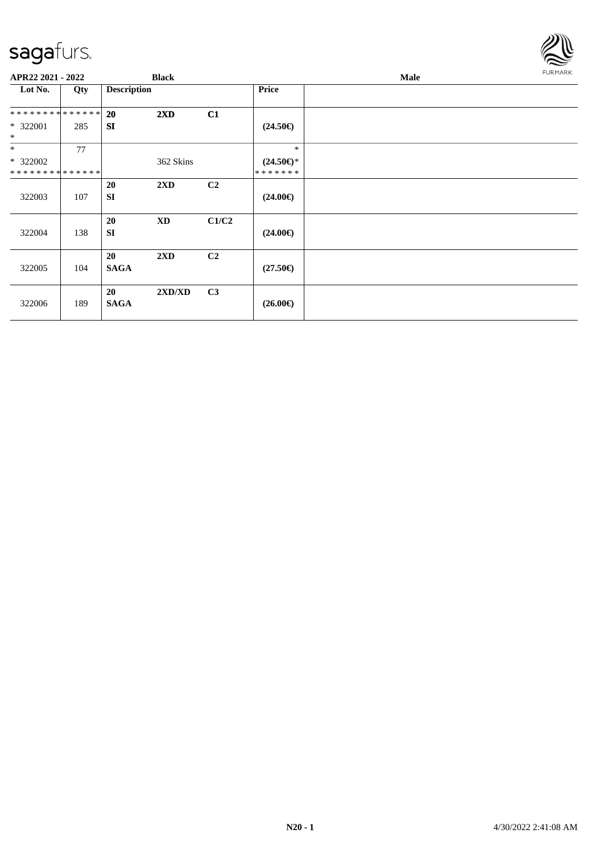

| APR22 2021 - 2022                       |     | <b>Black</b>           |                         |                |                                      | <b>FURMARK</b> |  |
|-----------------------------------------|-----|------------------------|-------------------------|----------------|--------------------------------------|----------------|--|
| Lot No.                                 | Qty | <b>Description</b>     |                         |                | <b>Price</b>                         |                |  |
| **************                          |     | 20                     | $2\mathbf{X}\mathbf{D}$ | C1             |                                      |                |  |
| * 322001<br>$\ast$                      | 285 | <b>SI</b>              |                         |                | $(24.50\epsilon)$                    |                |  |
| $*$                                     | 77  |                        |                         |                | $\ast$                               |                |  |
| * 322002<br>* * * * * * * * * * * * * * |     |                        | 362 Skins               |                | $(24.50\epsilon)$ *<br>* * * * * * * |                |  |
| 322003                                  | 107 | <b>20</b><br><b>SI</b> | $2\mathbf{X}\mathbf{D}$ | C <sub>2</sub> | $(24.00\epsilon)$                    |                |  |
| 322004                                  | 138 | 20<br><b>SI</b>        | $\mathbf{X}\mathbf{D}$  | C1/C2          | $(24.00\epsilon)$                    |                |  |
| 322005                                  | 104 | 20<br><b>SAGA</b>      | 2XD                     | C <sub>2</sub> | $(27.50\epsilon)$                    |                |  |
| 322006                                  | 189 | 20<br><b>SAGA</b>      | 2XD/XD                  | C <sub>3</sub> | $(26.00\epsilon)$                    |                |  |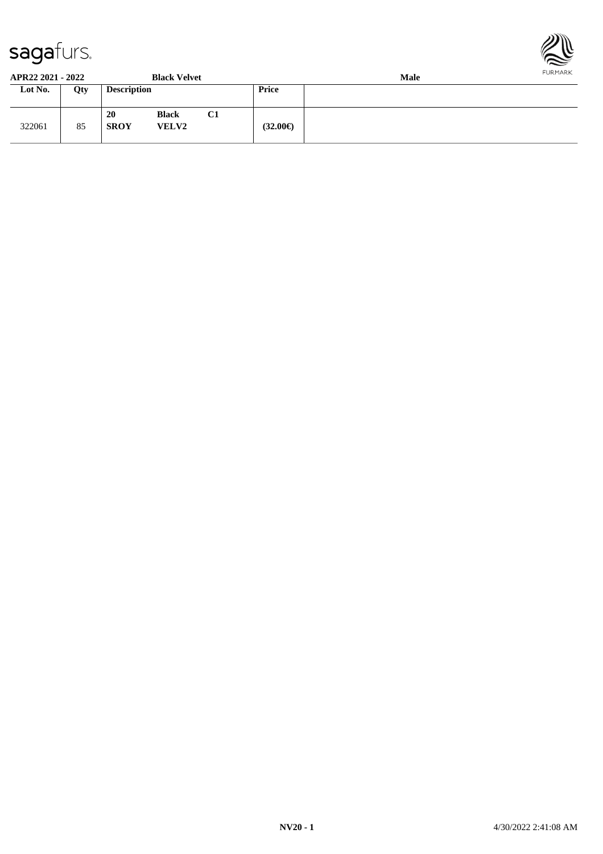



**APR22 2021 - 2022 Black Velvet Male**

| AI NAA AVAI * AVAA . |     |                    | DIACK VEIVEL                 |    | маю               |  |  |  |
|----------------------|-----|--------------------|------------------------------|----|-------------------|--|--|--|
| Lot No.              | Qty | <b>Description</b> |                              |    | <b>Price</b>      |  |  |  |
| 322061               | 85  | 20<br><b>SROY</b>  | <b>Black</b><br><b>VELV2</b> | C1 | $(32.00\epsilon)$ |  |  |  |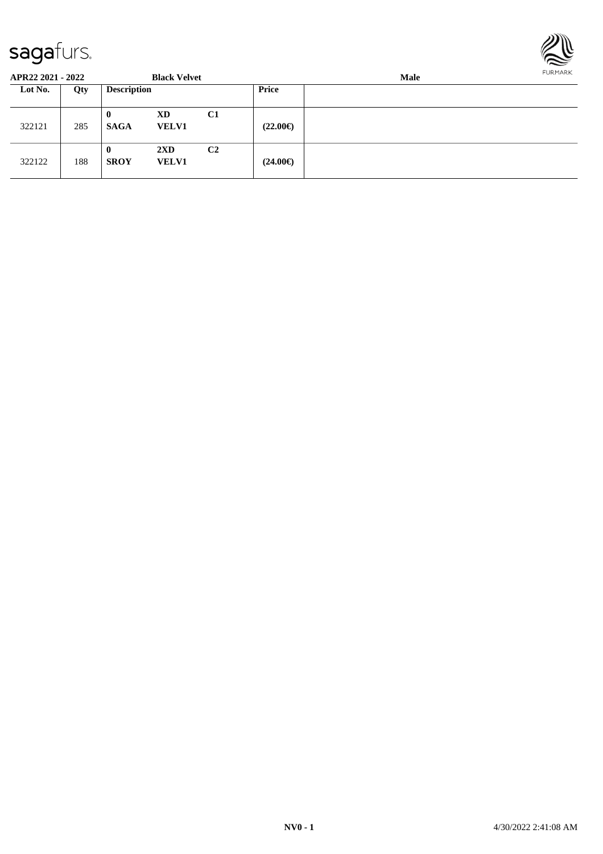

| APR22 2021 - 2022 |     |                         | <b>Black Velvet</b>                     |                | <b>Male</b>       |  |  |  |
|-------------------|-----|-------------------------|-----------------------------------------|----------------|-------------------|--|--|--|
| Lot No.           | Qty | <b>Description</b>      |                                         |                | <b>Price</b>      |  |  |  |
| 322121            | 285 | $\bf{0}$<br><b>SAGA</b> | XD<br><b>VELV1</b>                      | C <sub>1</sub> | $(22.00\epsilon)$ |  |  |  |
| 322122            | 188 | $\bf{0}$<br><b>SROY</b> | $2\mathbf{X}\mathbf{D}$<br><b>VELV1</b> | C <sub>2</sub> | $(24.00\epsilon)$ |  |  |  |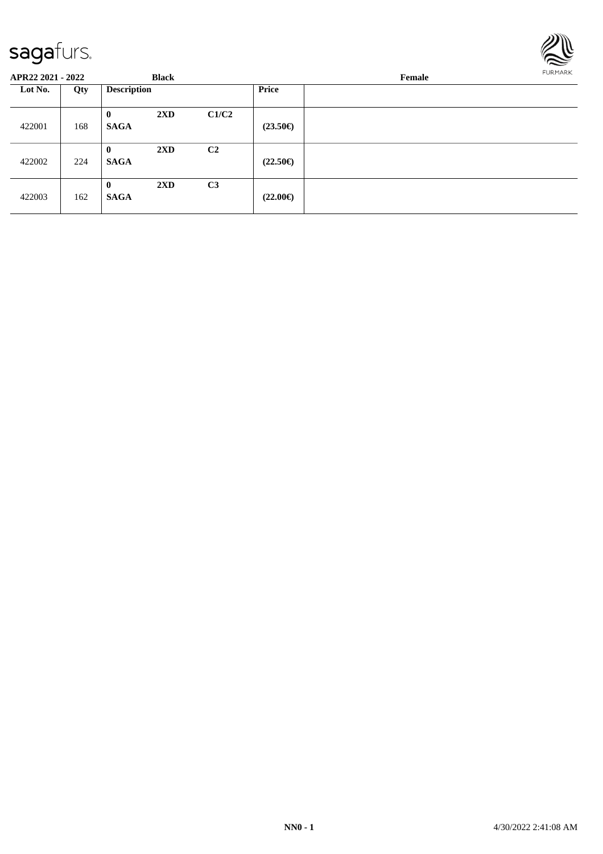

| <b>APR22 2021 - 2022</b> |     |                         | <b>Black</b>            |                | FURMARK<br>Female |  |  |
|--------------------------|-----|-------------------------|-------------------------|----------------|-------------------|--|--|
| Lot No.                  | Qty | <b>Description</b>      |                         |                | <b>Price</b>      |  |  |
| 422001                   | 168 | $\bf{0}$<br><b>SAGA</b> | $2\mathbf{X}\mathbf{D}$ | C1/C2          | $(23.50\epsilon)$ |  |  |
| 422002                   | 224 | $\bf{0}$<br><b>SAGA</b> | $2\mathbf{X}\mathbf{D}$ | C <sub>2</sub> | $(22.50\epsilon)$ |  |  |
| 422003                   | 162 | $\bf{0}$<br><b>SAGA</b> | $2\mathbf{X}\mathbf{D}$ | C <sub>3</sub> | $(22.00\epsilon)$ |  |  |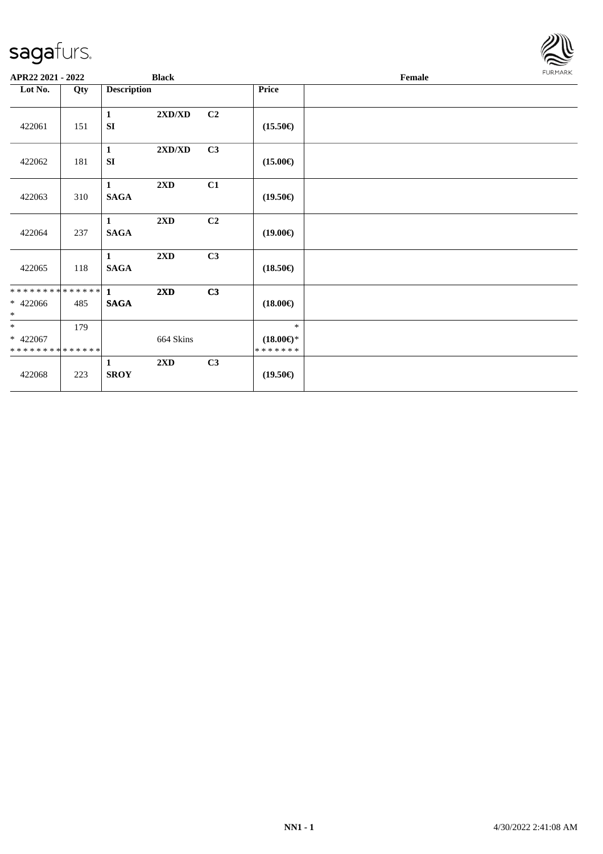

| APR22 2021 - 2022                                   |     | <b>Black</b>                |           |                |                                             | Female |  |  |
|-----------------------------------------------------|-----|-----------------------------|-----------|----------------|---------------------------------------------|--------|--|--|
| Lot No.<br>Qty                                      |     | <b>Description</b>          |           |                | Price                                       |        |  |  |
| 422061                                              | 151 | $\mathbf{1}$<br>SI          | 2XD/XD    | C <sub>2</sub> | $(15.50\epsilon)$                           |        |  |  |
| 422062                                              | 181 | $\mathbf{1}$<br><b>SI</b>   | 2XD/XD    | C <sub>3</sub> | $(15.00\epsilon)$                           |        |  |  |
| 422063                                              | 310 | $\mathbf{1}$<br><b>SAGA</b> | 2XD       | C1             | $(19.50\epsilon)$                           |        |  |  |
| 422064                                              | 237 | $\mathbf{1}$<br><b>SAGA</b> | 2XD       | C <sub>2</sub> | $(19.00\epsilon)$                           |        |  |  |
| 422065                                              | 118 | 1<br><b>SAGA</b>            | 2XD       | C3             | $(18.50\epsilon)$                           |        |  |  |
| $* 422066$<br>$\ast$                                | 485 | <b>SAGA</b>                 | 2XD       | C3             | $(18.00\epsilon)$                           |        |  |  |
| $\ast$<br>$* 422067$<br>* * * * * * * * * * * * * * | 179 |                             | 664 Skins |                | $*$<br>$(18.00\epsilon)$ *<br>* * * * * * * |        |  |  |
| 422068                                              | 223 | $\mathbf{1}$<br><b>SROY</b> | 2XD       | C3             | $(19.50\epsilon)$                           |        |  |  |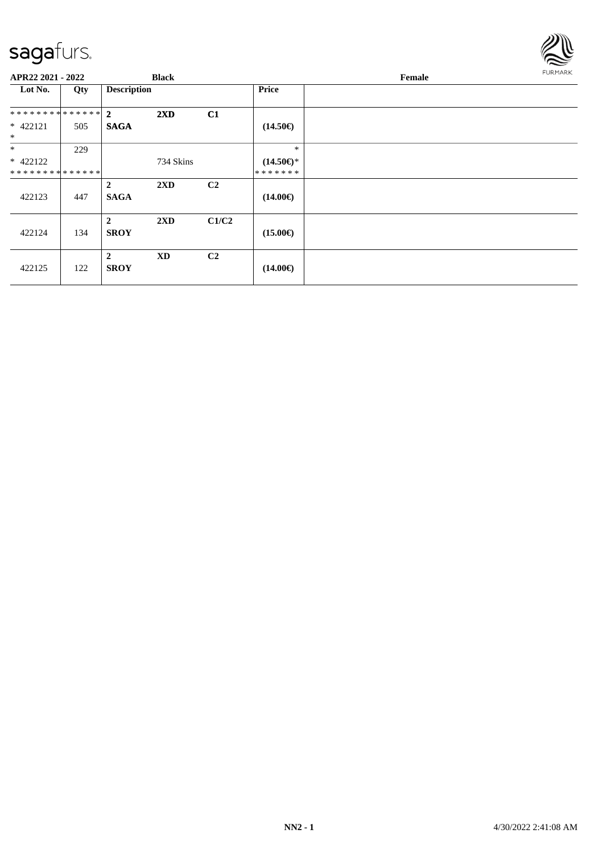

| APR22 2021 - 2022    |     |                               | <b>Black</b>            |                |                     | Female | FURMARK |
|----------------------|-----|-------------------------------|-------------------------|----------------|---------------------|--------|---------|
| Lot No.              | Qty | <b>Description</b>            |                         |                | <b>Price</b>        |        |         |
| ************** 2     |     |                               | $2\mathbf{X}\mathbf{D}$ | C1             |                     |        |         |
| $* 422121$<br>$\ast$ | 505 | <b>SAGA</b>                   |                         |                | $(14.50\epsilon)$   |        |         |
| $\ast$               | 229 |                               |                         |                | $\ast$              |        |         |
| $* 422122$           |     |                               | 734 Skins               |                | $(14.50\epsilon)$ * |        |         |
| **************       |     |                               |                         |                | * * * * * * *       |        |         |
| 422123               | 447 | $\overline{2}$<br><b>SAGA</b> | $2\mathbf{X}\mathbf{D}$ | C <sub>2</sub> | $(14.00\epsilon)$   |        |         |
| 422124               | 134 | $\overline{2}$<br><b>SROY</b> | 2XD                     | C1/C2          | $(15.00\epsilon)$   |        |         |
| 422125               | 122 | $\mathbf{2}$<br><b>SROY</b>   | <b>XD</b>               | C <sub>2</sub> | $(14.00\epsilon)$   |        |         |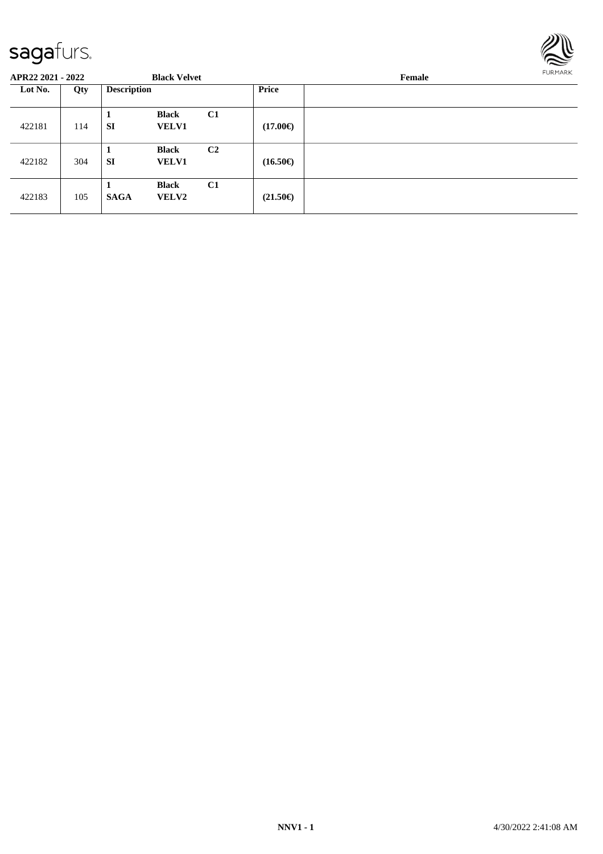

| APR22 2021 - 2022 |     |                    | <b>Black Velvet</b>          |                |                   | <b>FURMARK</b><br>Female |  |  |
|-------------------|-----|--------------------|------------------------------|----------------|-------------------|--------------------------|--|--|
| Lot No.           | Qty | <b>Description</b> |                              |                | <b>Price</b>      |                          |  |  |
| 422181            | 114 | <b>SI</b>          | <b>Black</b><br><b>VELV1</b> | C1             | $(17.00\epsilon)$ |                          |  |  |
| 422182            | 304 | 1<br><b>SI</b>     | <b>Black</b><br><b>VELV1</b> | C <sub>2</sub> | $(16.50\epsilon)$ |                          |  |  |
| 422183            | 105 | <b>SAGA</b>        | <b>Black</b><br><b>VELV2</b> | C1             | $(21.50\epsilon)$ |                          |  |  |